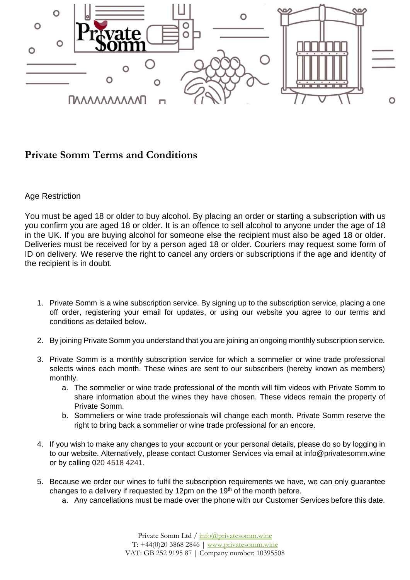

## **Private Somm Terms and Conditions**

## Age Restriction

You must be aged 18 or older to buy alcohol. By placing an order or starting a subscription with us you confirm you are aged 18 or older. It is an offence to sell alcohol to anyone under the age of 18 in the UK. If you are buying alcohol for someone else the recipient must also be aged 18 or older. Deliveries must be received for by a person aged 18 or older. Couriers may request some form of ID on delivery. We reserve the right to cancel any orders or subscriptions if the age and identity of the recipient is in doubt.

- 1. Private Somm is a wine subscription service. By signing up to the subscription service, placing a one off order, registering your email for updates, or using our website you agree to our terms and conditions as detailed below.
- 2. By joining Private Somm you understand that you are joining an ongoing monthly subscription service.
- 3. Private Somm is a monthly subscription service for which a sommelier or wine trade professional selects wines each month. These wines are sent to our subscribers (hereby known as members) monthly.
	- a. The sommelier or wine trade professional of the month will film videos with Private Somm to share information about the wines they have chosen. These videos remain the property of Private Somm.
	- b. Sommeliers or wine trade professionals will change each month. Private Somm reserve the right to bring back a sommelier or wine trade professional for an encore.
- 4. If you wish to make any changes to your account or your personal details, please do so by logging in to our website. Alternatively, please contact Customer Services via email at info@privatesomm.wine or by calling 020 4518 4241.
- 5. Because we order our wines to fulfil the subscription requirements we have, we can only guarantee changes to a delivery if requested by 12pm on the 19<sup>th</sup> of the month before.
	- a. Any cancellations must be made over the phone with our Customer Services before this date.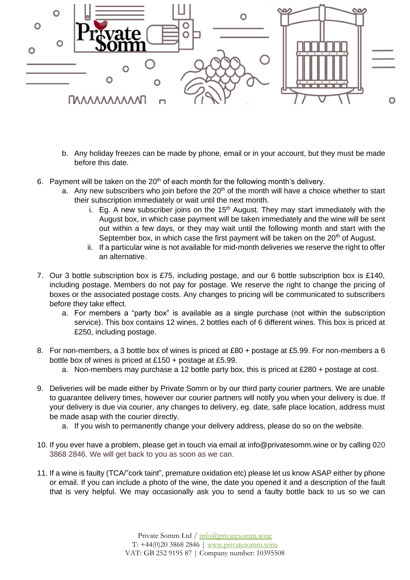

- b. Any holiday freezes can be made by phone, email or in your account, but they must be made before this date.
- 6. Payment will be taken on the  $20<sup>th</sup>$  of each month for the following month's delivery.
	- a. Any new subscribers who join before the  $20<sup>th</sup>$  of the month will have a choice whether to start their subscription immediately or wait until the next month.
		- i. Eg. A new subscriber joins on the  $15<sup>th</sup>$  August. They may start immediately with the August box, in which case payment will be taken immediately and the wine will be sent out within a few days, or they may wait until the following month and start with the September box, in which case the first payment will be taken on the 20<sup>th</sup> of August.
		- ii. If a particular wine is not available for mid-month deliveries we reserve the right to offer an alternative.
- 7. Our 3 bottle subscription box is £75, including postage, and our 6 bottle subscription box is £140, including postage. Members do not pay for postage. We reserve the right to change the pricing of boxes or the associated postage costs. Any changes to pricing will be communicated to subscribers before they take effect.
	- a. For members a "party box" is available as a single purchase (not within the subscription service). This box contains 12 wines, 2 bottles each of 6 different wines. This box is priced at £250, including postage.
- 8. For non-members, a 3 bottle box of wines is priced at £80 + postage at £5.99. For non-members a 6 bottle box of wines is priced at £150 + postage at £5.99.
	- a. Non-members may purchase a 12 bottle party box, this is priced at £280 + postage at cost.
- 9. Deliveries will be made either by Private Somm or by our third party courier partners. We are unable to guarantee delivery times, however our courier partners will notify you when your delivery is due. If your delivery is due via courier, any changes to delivery, eg. date, safe place location, address must be made asap with the courier directly.
	- a. If you wish to permanently change your delivery address, please do so on the website.
- 10. If you ever have a problem, please get in touch via email at info@privatesomm.wine or by calling 020 3868 2846. We will get back to you as soon as we can.
- 11. If a wine is faulty (TCA/"cork taint", premature oxidation etc) please let us know ASAP either by phone or email. If you can include a photo of the wine, the date you opened it and a description of the fault that is very helpful. We may occasionally ask you to send a faulty bottle back to us so we can